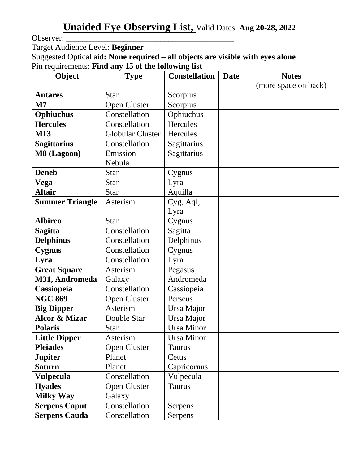Observer:

Target Audience Level: **Beginner**

Suggested Optical aid**: None required – all objects are visible with eyes alone** Pin requirements: **Find any 15 of the following list**

| Object                   | <b>Type</b>             | <b>Constellation</b> | <b>Date</b> | <b>Notes</b>         |
|--------------------------|-------------------------|----------------------|-------------|----------------------|
|                          |                         |                      |             | (more space on back) |
| <b>Antares</b>           | <b>Star</b>             | Scorpius             |             |                      |
| $\mathbf{M}$             | <b>Open Cluster</b>     | Scorpius             |             |                      |
| <b>Ophiuchus</b>         | Constellation           | Ophiuchus            |             |                      |
| <b>Hercules</b>          | Constellation           | Hercules             |             |                      |
| <b>M13</b>               | <b>Globular Cluster</b> | Hercules             |             |                      |
| <b>Sagittarius</b>       | Constellation           | Sagittarius          |             |                      |
| M8 (Lagoon)              | Emission<br>Nebula      | Sagittarius          |             |                      |
| <b>Deneb</b>             | <b>Star</b>             | Cygnus               |             |                      |
| <b>Vega</b>              | <b>Star</b>             | Lyra                 |             |                      |
| <b>Altair</b>            | <b>Star</b>             | Aquilla              |             |                      |
| <b>Summer Triangle</b>   | Asterism                | Cyg, Aql,<br>Lyra    |             |                      |
| <b>Albireo</b>           | <b>Star</b>             | Cygnus               |             |                      |
| <b>Sagitta</b>           | Constellation           | Sagitta              |             |                      |
| <b>Delphinus</b>         | Constellation           | Delphinus            |             |                      |
| <b>Cygnus</b>            | Constellation           | Cygnus               |             |                      |
| Lyra                     | Constellation           | Lyra                 |             |                      |
| <b>Great Square</b>      | Asterism                | Pegasus              |             |                      |
| M31, Andromeda           | Galaxy                  | Andromeda            |             |                      |
| Cassiopeia               | Constellation           | Cassiopeia           |             |                      |
| <b>NGC 869</b>           | <b>Open Cluster</b>     | Perseus              |             |                      |
| <b>Big Dipper</b>        | Asterism                | Ursa Major           |             |                      |
| <b>Alcor &amp; Mizar</b> | Double Star             | Ursa Major           |             |                      |
| <b>Polaris</b>           | <b>Star</b>             | <b>Ursa Minor</b>    |             |                      |
| <b>Little Dipper</b>     | Asterism                | Ursa Minor           |             |                      |
| <b>Pleiades</b>          | <b>Open Cluster</b>     | <b>Taurus</b>        |             |                      |
| <b>Jupiter</b>           | Planet                  | Cetus                |             |                      |
| <b>Saturn</b>            | Planet                  | Capricornus          |             |                      |
| <b>Vulpecula</b>         | Constellation           | Vulpecula            |             |                      |
| <b>Hyades</b>            | <b>Open Cluster</b>     | <b>Taurus</b>        |             |                      |
| <b>Milky Way</b>         | Galaxy                  |                      |             |                      |
| <b>Serpens Caput</b>     | Constellation           | Serpens              |             |                      |
| <b>Serpens Cauda</b>     | Constellation           | Serpens              |             |                      |